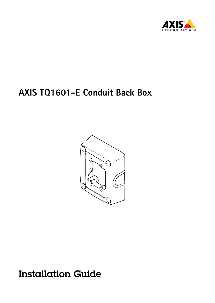



Installation Guide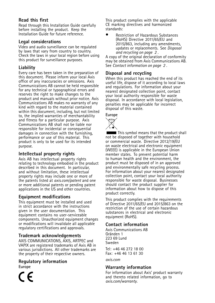#### **Read this first**

Read through this Installation Guide carefully before installing the product. Keep the Installation Guide for future reference.

#### **Legal considerations**

Video and audio surveillance can be regulated by laws that vary from country to country. Check the laws in your local region before using this product for surveillance purposes.

#### **Liability**

Every care has been taken in the preparation of this document. Please inform your local Axis office of any inaccuracies or omissions. Axis Communications AB cannot be held responsible for any technical or typographical errors and reserves the right to make changes to the product and manuals without prior notice. Axis Communications AB makes no warranty of any kind with regard to the material contained within this document, including, but not limited to, the implied warranties of merchantability and fitness for <sup>a</sup> particular purpose. Axis Communications AB shall not be liable nor responsible for incidental or consequential damages in connection with the furnishing, performance or use of this material. This product is only to be used for its intended purpose.

#### **Intellectual property rights**

Axis AB has intellectual property rights relating to technology embodied in the product described in this document. In particular, and without limitation, these intellectual property rights may include one or more of the patents listed at *[axis.com/patent](https://www.axis.com/patent)* and one or more additional patents or pending patent applications in the US and other countries.

#### **Equipment modifications**

This equipment must be installed and used in strict accordance with the instructions given in the user documentation. This equipment contains no user-serviceable components. Unauthorized equipment changes or modifications will invalidate all applicable regulatory certifications and approvals.

#### **Trademark acknowledgements**

AXIS COMMUNICATIONS, AXIS, ARTPEC and VAPIX are registered trademarks of Axis AB in various jurisdictions. All other trademarks are the property of their respective owners.

#### **Regulatory information**

**Europe**

This product complies with the applicable CE marking directives and harmonized standards:

• Restriction of Hazardous Substances (RoHS) Directive 2011/65/EU and 2015/863, including any amendments, updates or replacements. See *Disposal and recycling on page 2* .

A copy of the original declaration of conformity may be obtained from Axis Communications AB. See *Contact information on page 2* .

#### **Disposal and recycling**

When this product has reached the end of its useful life, dispose of it according to local laws and regulations. For information about your nearest designated collection point, contact your local authority responsible for waste disposal. In accordance with local legislation, penalties may be applicable for incorrect disposal of this waste.

**Europe**



This symbol means that the product shall not be disposed of together with household or commercial waste. Directive 2012/19/EU on waste electrical and electronic equipment (WEEE) is applicable in the European Union member states. To prevent potential harm to human health and the environment, the product must be disposed of in an approved and environmentally safe recycling process. For information about your nearest designated collection point, contact your local authority responsible for waste disposal. Businesses should contact the product supplier for information about how to dispose of this product correctly.

This product complies with the requirements of Directive 2011/65/EU and 2015/863 on the restriction of the use of certain hazardous substances in electrical and electronic equipment (RoHS).

#### **Contact information**

Axis Communications AB Gränden 1 223 69 Lund Sweden

Tel: +46 46 272 18 00 Fax: +46 46 13 61 30

*[axis.com](https://www.axis.com)*

#### **Warranty information**

For information about Axis' product warranty and thereto related information, go to *[axis.com/warranty](https://www.axis.com/warranty)*.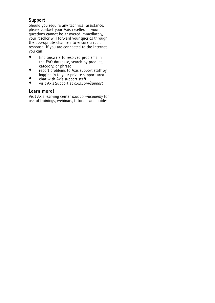#### **Support**

Should you require any technical assistance, please contact your Axis reseller. If your questions cannot be answered immediately, your reseller will forward your queries through the appropriate channels to ensure <sup>a</sup> rapid response. If you are connected to the Internet, you can:

- • find answers to resolved problems in the FAQ database, search by product, category, or phrase
- •report problems to Axis support staff by logging in to your private support area
- •chat with Axis support staff
- •visit Axis Support at *[axis.com/support](https://www.axis.com/support)*

#### **Learn more!**

Visit Axis learning center *[axis.com/academy](https://www.axis.com/academy)* for useful trainings, webinars, tutorials and guides.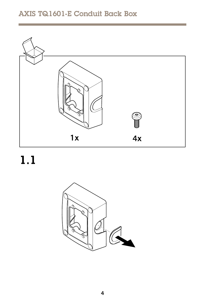

 $1.1$ 

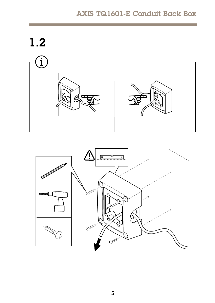



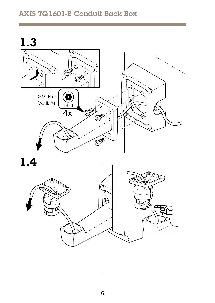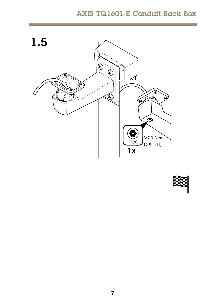

![](_page_6_Picture_2.jpeg)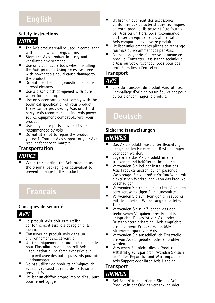# **English**

#### **Safety instructions**

### *NOTICE*

- • The Axis product shall be used in compliance with local laws and regulations.
- • Store the Axis product in <sup>a</sup> dry and ventilated environment.
- • Use only applicable tools when installing the Axis product. Using excessive force with power tools could cause damage to the product.
- • Do not use chemicals, caustic agents, or aerosol cleaners.
- • Use <sup>a</sup> clean cloth dampened with pure water for cleaning.
- • Use only accessories that comply with the technical specification of your product. These can be provided by Axis or <sup>a</sup> third party. Axis recommends using Axis power source equipment compatible with your product.
- • Use only spare parts provided by or recommended by Axis.
- • Do not attempt to repair the product yourself. Contact Axis support or your Axis reseller for service matters.

### **Transportation**

### *NOTICE*

• When transporting the Axis product, use the original packaging or equivalent to prevent damage to the product.

#### **Consignes de sécurité**

# *AVIS*

- • Le produit Axis doit être utilisé conformément aux lois et règlements locaux.
- • Conserver ce produit Axis dans un environnement sec et ventilé.
- • Utiliser uniquement des outils recommandés pour l'installation de l'appareil Axis. L'application d'une force excessive sur l'appareil avec des outils puissants pourrait l'endommager.
- • Ne pas utiliser de produits chimiques, de substances caustiques ou de nettoyants pressurisés.
- • Utiliser un chiffon propre imbibé d'eau pure pour le nettoyage.
- • Utiliser uniquement des accessoires conformes aux caractéristiques techniques de votre produit. Ils peuvent être fournis par Axis ou un tiers. Axis recommande d'utiliser un équipement d'alimentation Axis compatible avec votre produit.
- • Utiliser uniquement les pièces de rechange fournies ou recommandées par Axis.
- • Ne pas essayer de réparer vous-même ce produit. Contacter l'assistance technique d'Axis ou votre revendeur Axis pour des problèmes liés à l'entretien.

#### **Transport**

### *AVIS*

• Lors du transport du produit Axis, utilisez l'emballage d'origine ou un équivalent pour éviter d'endommager le produit.

# **Deutsch**

#### **Sicherheitsanweisungen**

#### *HINWEIS HINWEIS HINWEIS*

- • Das Axis Produkt muss unter Beachtung der geltenden Gesetze und Bestimmungen betrieben werden.
- • Lagern Sie das Axis Produkt in einer trockenen und belüfteten Umgebung.
- • Verwenden Sie bei der Installation des Axis Produkts ausschließlich passende Werkzeuge. Ein zu großer Kraftaufwand mit elektrischen Werkzeugen kann das Produkt beschädigen.
- • Verwenden Sie keine chemischen, ätzenden oder aerosolhaltigen Reinigungsmittel.
- Verwenden Sie zum Reinigen ein sauberes, mit destilliertem Wasser angefeuchtetes Tuch.
	- • Verwenden Sie nur Zubehör, das den technischen Vorgaben Ihres Produkts entspricht. Dieses ist von Axis oder Drittanbietern erhältlich. Axis empfiehlt die mit Ihrem Produkt kompatible Stromversorgung von Axis.
- Verwenden Sie ausschließlich Ersatzteile die von Axis angeboten oder empfohlen werden.
	- • Versuchen Sie nicht, dieses Produkt selbsttätig zu reparieren. Wenden Sie sich bezüglich Reparatur und Wartung an den Axis Support oder Ihren Axis Händler.

#### **Transport** *HINWEIS HINWEIS HINWEIS*

• Bei Bedarf transportieren Sie das Axis Produkt in der Originalverpackung oder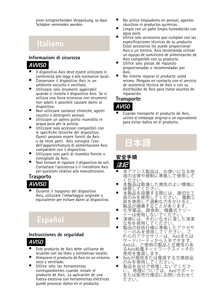einer entsprechenden Verpackung, so dass Schäden vermieden werden.

# **Italiano**

#### **Informazioni di sicurezza**

# *AVVISO*

- • Il dispositivo Axis deve essere utilizzato in conformità alle leggi <sup>e</sup> alle normative locali.
- • Conservare il dispositivo Axis in un ambiente asciutto e ventilato.
- • Utilizzare solo strumenti applicabili quando si installa il dispositivo Axis. Se si utilizza una forza eccessiva con strumenti non adatti è possibile causare danni al dispositivo.
- • Non utilizzare sostanze chimiche, agenti caustici <sup>o</sup> detergenti aerosol.
- • Utilizzare un panno pulito inumidito in acqua pura per la pulizia.
- • Utilizzare solo accessori compatibili con le specifiche tecniche del dispositivo. Questi possono essere forniti da Axis <sup>o</sup> da terze parti. Axis consiglia l'uso dell'apparecchiatura di alimentazione Axis compatibile con il dispositivo.
- • Utilizzare solo parti di ricambio fornite <sup>o</sup> consigliate da Axis.
- • Non tentare di riparare il dispositivo da soli. Contattare l'assistenza <sup>o</sup> il rivenditore Axis per questioni relative alla manutenzione.

#### **Trasporto**

![](_page_8_Picture_13.jpeg)

• Durante il trasporto del dispositivo Axis, utilizzare l'imballaggio originale <sup>o</sup> equivalente per evitare danni al dispositivo.

# **Español**

#### **Instrucciones de seguridad**

![](_page_8_Picture_17.jpeg)

- • Este producto de Axis debe utilizarse de acuerdo con las leyes y normativas locales.
- • Almacene el producto de Axis en un entorno seco y ventilado.
- • Utilice solo las herramientas correspondientes cuando instale el producto de Axis. La aplicación de una fuerza excesiva con herramientas eléctricas puede provocar daños en el producto.
- • No utilice limpiadores en aerosol, agentes cáusticos ni productos químicos.
- • Limpie con un paño limpio humedecido con agua pura.
- • Utilice solo accesorios que cumplan con las especificaciones técnicas de su producto. Estos accesorios los puede proporcionar Axis o un tercero. Axis recomienda utilizar un equipo de suministro de alimentación de Axis compatible con su producto.
- • Utilice solo piezas de repuesto proporcionadas <sup>o</sup> recomendadas por Axis.
- • No intente reparar el producto usted mismo. Póngase en contacto con el servicio de asistencia técnica de Axis o con su distribuidor de Axis para tratar asuntos de reparación.

#### **Transporte**

### *AVISO*

• Cuando transporte el producto de Axis, utilice el embalaje original <sup>o</sup> un equivalente para evitar daños en el producto.

# **⽇本語**

**安全⼿順 注記**

- •
- •
- •
- •
- •
- 本域と、生活を製作力を持ち取りませんの人間を使用しています。またまでは、清な取りかけではないのかから、清な取りのみを使用しているを使用しているを使用していることがある。これが、これは、これはははははははははははは、このみを使用してくれば、これは、これは、これは、これは、これは、このようなもののみを使用してください。または、これは、これは、これは、これは、これは、このようなものの思えていないような、これはないので、これは、これは、こ •
	- •
- Axisが提供または推奨する交換部品<br>のみを使用してください。<br>■製品を自分で修理しないでくださ<br>い。修理については、Axisサポート<br>または販売代理店にお問い合わせく •ださい。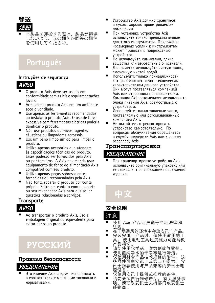![](_page_9_Picture_0.jpeg)

• 本製品を運搬する際は、製品が損傷 しないよう、元の梱包か同等の梱包<br>を使用してください。

# **Português**

#### **Instruções de segurança**

### *AVISO*

- • O produto Axis deve ser usado em conformidade com asleis <sup>e</sup> regulamentações locais.
- • Armazene <sup>o</sup> produto Axis em um ambiente seco e ventilado.
- • Use apenas as ferramentas recomendadas ao instalar <sup>o</sup> produto Axis. O uso de força excessiva com ferramentas elétricas poderia danificar <sup>o</sup> produto.
- • Não use produtos químicos, agentes cáusticos ou limpadores aerossóis.
- • Use um pano limpo úmido para limpar <sup>o</sup> produto.
- • Utilize apenas acessórios que atendam às especificações técnicas do produto. Esses poderão ser fornecidos pela Axis ou por terceiros. A Axis recomenda usar equipamento de fonte de alimentação Axis compatível com seu produto.
- •Utilize apenas peças sobressalentes fornecidas ou recomendadas pela Axis.
- •Não tente reparar o produto por conta própria. Entre em contato com <sup>o</sup> suporte ou seu revendedor Axis para quaisquer questões relacionadas <sup>a</sup> serviços.

### **Transporte**

# *AVISO*

• Ao transportar <sup>o</sup> produto Axis, use <sup>a</sup> embalagem original ou equivalente para evitar danos ao produto.

# РУССКИЙ

### Правила безопасности **УВЕДОМЛЕНИЕ**

• Это изделие Axis следует использовать в соответствии с местными законами и нормативами.

- • Устройство Axis должно храниться <sup>в</sup> сухом, хорошо проветриваемом помещении.
- • При установке устройства Axis используйте только предназначенные для этого инструменты. Приложение чрезмерных усилий <sup>к</sup> инструментам может привести <sup>к</sup> повреждению устройства.
- • Не используйте химикалии, едкие вещества или аэрозольные очистители.
- • Для очистки используйте чистую ткань, смоченную чистой водой.
- • Используйте только принадлежности, которые соответствуют техническим характеристикам данного устройства. Они могут поставляться компанией Axis или сторонним производителем. Компания Axis рекомендует использовать блоки питания Axis, совместимые <sup>с</sup> устройством.
- • Используйте только запасные части, поставляемые или рекомендованные компанией Axis.
- • Не пытайтесь отремонтировать устройство самостоятельно. По вопросам обслуживания обращайтесь <sup>в</sup> службу поддержки Axis или <sup>к</sup> своему реселлеру Axis.

### Транспортировка **УВЕДОМЛЕНИЕ**

• При транспортировке устройства Axis используйте оригинальную упаковку или ее эквивалент во избежание повреждения изделия.

# 中文

### 安全说明 注意

- • 使用 Axis 产品时应遵守当地法律和 法规
- • 在干燥通风的环境中存放安讯士产品。 •
- 安装安讯士产品时,仅使用适用的工 具。 使用电动工具过度施力可能导致 产品损坏。 •
	- 请勿使用化学品、腐蚀剂或气雾剂。
	- • 使用蘸纯净水的干净布进行清洁。 •仅使用符合产品技术规格的附件。 些附件可由安讯士或第三方提供。 安 讯士推荐使用与产品兼容的安讯士电 源设备。
- • 仅使用安讯士提供或推荐的备件。 请勿尝试自行维修产品。 有关服务事 •项,请联系安讯士支持部门或安讯士 经销商。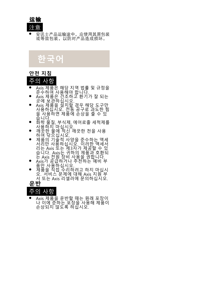![](_page_10_Picture_0.jpeg)

• 安讯士产品运输途中,应使用其原包装 武等效包装,以防对产品造成损坏。

**한국어**

#### **안전 지침**

### 주의 사항

- •
- •
- •
- •
- •
- Ais 작업을 해당 지역 법률 및 규정을 확인하여 한 모두 수 사장에서 제공하십시오.<br>조수 사장에서 제공하십시오.<br>수상 제공을 설치할 경우 수 있는 과도 한 것이 이 시간이 있습니다.<br>이 사장에서 이 시간이 있습니다.<br>이 시장에서 이 시간이 있습니다.<br>이 시장에서 이 시간이 있습니다.<br>이 시장에서 이 시장에서 있는 것이 있습니다.<br>이 시장에서 이 시장에서 이 시장에서 이 시장에서 이 시장 •
	- •

•

![](_page_10_Picture_13.jpeg)

![](_page_10_Picture_14.jpeg)

•● Axis 제품을 운반할 때는 원래 포장이<br>나 이에 준하는 포장을 사용해 제품이<br>손상되지 않도록 하십시오.